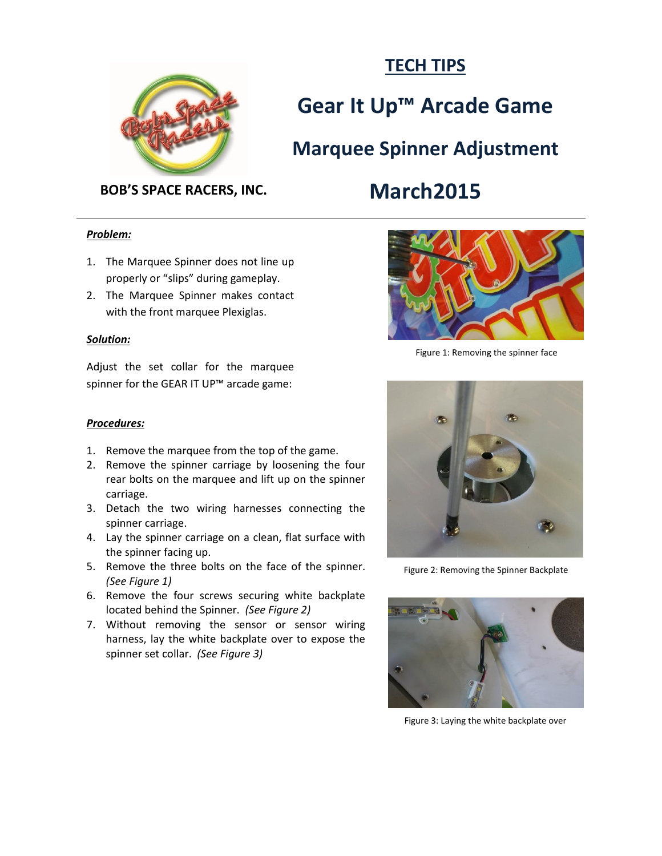

## **TECH TIPS**

# **Gear It Up™ Arcade Game**

**Marquee Spinner Adjustment**

# **BOB'S SPACE RACERS, INC. March2015**

## *Problem:*

- 1. The Marquee Spinner does not line up properly or "slips" during gameplay.
- 2. The Marquee Spinner makes contact with the front marquee Plexiglas.

### *Solution:*

Adjust the set collar for the marquee spinner for the GEAR IT UP<sup>™</sup> arcade game:



Figure 1: Removing the spinner face

#### *Procedures:*

- 1. Remove the marquee from the top of the game.
- 2. Remove the spinner carriage by loosening the four rear bolts on the marquee and lift up on the spinner carriage.
- 3. Detach the two wiring harnesses connecting the spinner carriage.
- 4. Lay the spinner carriage on a clean, flat surface with the spinner facing up.
- 5. Remove the three bolts on the face of the spinner. *(See Figure 1)*
- 6. Remove the four screws securing white backplate located behind the Spinner. *(See Figure 2)*
- 7. Without removing the sensor or sensor wiring harness, lay the white backplate over to expose the spinner set collar. *(See Figure 3)*



Figure 2: Removing the Spinner Backplate



Figure 3: Laying the white backplate over